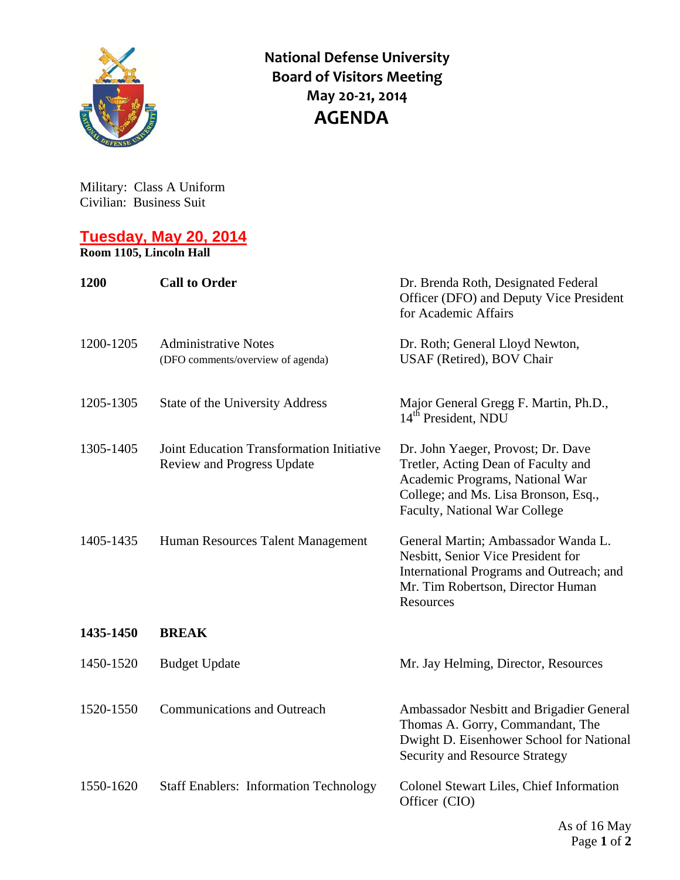

**National Defense University Board of Visitors Meeting May 20‐21, 2014 AGENDA**

Military: Class A Uniform Civilian: Business Suit

## **Tuesday, May 20, 2014 Room 1105, Lincoln Hall**

| 1200      | <b>Call to Order</b>                                                    | Dr. Brenda Roth, Designated Federal<br>Officer (DFO) and Deputy Vice President<br>for Academic Affairs                                                                                |
|-----------|-------------------------------------------------------------------------|---------------------------------------------------------------------------------------------------------------------------------------------------------------------------------------|
| 1200-1205 | <b>Administrative Notes</b><br>(DFO comments/overview of agenda)        | Dr. Roth; General Lloyd Newton,<br>USAF (Retired), BOV Chair                                                                                                                          |
| 1205-1305 | State of the University Address                                         | Major General Gregg F. Martin, Ph.D.,<br>14 <sup>th</sup> President, NDU                                                                                                              |
| 1305-1405 | Joint Education Transformation Initiative<br>Review and Progress Update | Dr. John Yaeger, Provost; Dr. Dave<br>Tretler, Acting Dean of Faculty and<br>Academic Programs, National War<br>College; and Ms. Lisa Bronson, Esq.,<br>Faculty, National War College |
| 1405-1435 | Human Resources Talent Management                                       | General Martin; Ambassador Wanda L.<br>Nesbitt, Senior Vice President for<br>International Programs and Outreach; and<br>Mr. Tim Robertson, Director Human<br>Resources               |
| 1435-1450 | <b>BREAK</b>                                                            |                                                                                                                                                                                       |
| 1450-1520 | <b>Budget Update</b>                                                    | Mr. Jay Helming, Director, Resources                                                                                                                                                  |
| 1520-1550 | <b>Communications and Outreach</b>                                      | Ambassador Nesbitt and Brigadier General<br>Thomas A. Gorry, Commandant, The<br>Dwight D. Eisenhower School for National<br><b>Security and Resource Strategy</b>                     |
| 1550-1620 | <b>Staff Enablers: Information Technology</b>                           | Colonel Stewart Liles, Chief Information<br>Officer (CIO)                                                                                                                             |